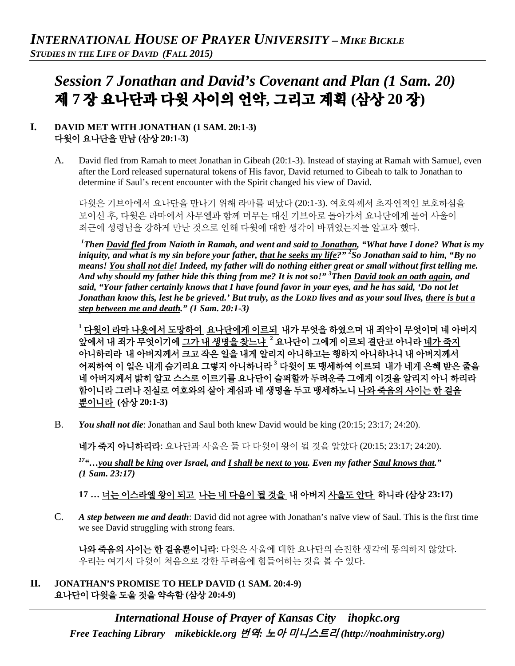# *Session 7 Jonathan and David's Covenant and Plan (1 Sam. 20)*  제 **7** 장 요나단과 다윗 사이의 언약**,** 그리고 계획 **(**삼상 **20** 장**)**

#### **I. DAVID MET WITH JONATHAN (1 SAM. 20:1-3)** 다윗이 요나단을 만남 **(**삼상 **20:1-3)**

A. David fled from Ramah to meet Jonathan in Gibeah (20:1-3). Instead of staying at Ramah with Samuel, even after the Lord released supernatural tokens of His favor, David returned to Gibeah to talk to Jonathan to determine if Saul's recent encounter with the Spirit changed his view of David.

다윗은 기브아에서 요나단을 만나기 위해 라마를 떠났다 (20:1-3). 여호와께서 초자연적인 보호하심을 보이신 후, 다윗은 라마에서 사무엘과 함께 머무는 대신 기브아로 돌아가서 요나단에게 물어 사울이 최근에 성령님을 강하게 만난 것으로 인해 다윗에 대한 생각이 바뀌었는지를 알고자 했다.

*1 Then David fled from Naioth in Ramah, and went and said to Jonathan, "What have I done? What is my iniquity, and what is my sin before your father, that he seeks my life?" 2 So Jonathan said to him, "By no means! You shall not die! Indeed, my father will do nothing either great or small without first telling me. And why should my father hide this thing from me? It is not so!" 3 Then David took an oath again, and said, "Your father certainly knows that I have found favor in your eyes, and he has said, 'Do not let Jonathan know this, lest he be grieved.' But truly, as the LORD lives and as your soul lives, there is but a step between me and death." (1 Sam. 20:1-3)*

**<sup>1</sup>** 다윗이 라마 나욧에서 도망하여 요나단에게 이르되 내가 무엇을 하였으며 내 죄악이 무엇이며 네 아버지 앞에서 내 죄가 무엇이기에 그가 내 생명을 찾느냐 **<sup>2</sup>** 요나단이 그에게 이르되 결단코 아니라 네가 죽지 아니하리라 내 아버지께서 크고 작은 일을 내게 알리지 아니하고는 행하지 아니하나니 내 아버지께서 어찌하여 이 일은 내게 숨기리요 그렇지 아니하니라 **<sup>3</sup>** 다윗이 또 맹세하여 이르되 내가 네게 은혜 받은 줄을 네 아버지께서 밝히 알고 스스로 이르기를 요나단이 슬퍼할까 두려운즉 그에게 이것을 알리지 아니 하리라 함이니라 그러나 진실로 여호와의 살아 계심과 네 생명을 두고 맹세하노니 나와 죽음의 사이는 한 걸음 뿐이니라 **(**삼상 **20:1-3)**

B. *You shall not die*: Jonathan and Saul both knew David would be king (20:15; 23:17; 24:20).

네가 죽지 아니하리라: 요나단과 사울은 둘 다 다윗이 왕이 될 것을 알았다 (20:15; 23:17; 24:20).

*17"…you shall be king over Israel, and I shall be next to you. Even my father Saul knows that." (1 Sam. 23:17)*

## **17 …** 너는 이스라엘 왕이 되고 나는 네 다음이 될 것을 내 아버지 사울도 안다 하니라 **(**삼상 **23:17)**

C. *A step between me and death*: David did not agree with Jonathan's naïve view of Saul. This is the first time we see David struggling with strong fears.

나와 죽음의 사이는 한 걸음뿐이니라: 다윗은 사울에 대한 요나단의 순진한 생각에 동의하지 않았다. 우리는 여기서 다윗이 처음으로 강한 두려움에 힘들어하는 것을 볼 수 있다.

**II. JONATHAN'S PROMISE TO HELP DAVID (1 SAM. 20:4-9)** 요나단이 다윗을 도울 것을 약속함 **(**삼상 **20:4-9)**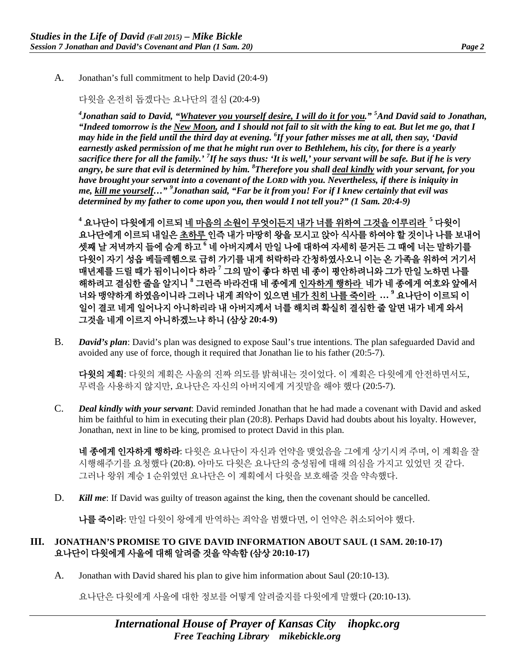A. Jonathan's full commitment to help David (20:4-9)

다윗을 온전히 돕겠다는 요나단의 결심 (20:4-9)

*4 Jonathan said to David, "Whatever you yourself desire, I will do it for you." <sup>5</sup> And David said to Jonathan, "Indeed tomorrow is the New Moon, and I should not fail to sit with the king to eat. But let me go, that I may hide in the field until the third day at evening. 6 If your father misses me at all, then say, 'David earnestly asked permission of me that he might run over to Bethlehem, his city, for there is a yearly sacrifice there for all the family.' <sup>7</sup> If he says thus: 'It is well,' your servant will be safe. But if he is very angry, be sure that evil is determined by him. <sup>8</sup> Therefore you shall deal kindly with your servant, for you have brought your servant into a covenant of the LORD with you. Nevertheless, if there is iniquity in me, kill me yourself…" <sup>9</sup> Jonathan said, "Far be it from you! For if I knew certainly that evil was determined by my father to come upon you, then would I not tell you?" (1 Sam. 20:4-9)*

**<sup>4</sup>** 요나단이 다윗에게 이르되 네 마음의 소원이 무엇이든지 내가 너를 위하여 그것을 이루리라 **<sup>5</sup>** 다윗이 요나단에게 이르되 내일은 초하루 인즉 내가 마땅히 왕을 모시고 앉아 식사를 하여야 할 것이나 나를 보내어 셋째 날 저녁까지 들에 숨게 하고 **<sup>6</sup>** 네 아버지께서 만일 나에 대하여 자세히 묻거든 그 때에 너는 말하기를 다윗이 자기 성읍 베들레헴으로 급히 가기를 내게 허락하라 간청하였사오니 이는 온 가족을 위하여 거기서 매년제를 드릴 때가 됨이니이다 하라 **<sup>7</sup>** 그의 말이 좋다 하면 네 종이 평안하려니와 그가 만일 노하면 나를 해하려고 결심한 줄을 알지니 **<sup>8</sup>** 그런즉 바라건대 네 종에게 인자하게 행하라 네가 네 종에게 여호와 앞에서 너와 맹약하게 하였음이니라 그러나 내게 죄악이 있으면 네가 친히 나를 죽이라 **… <sup>9</sup>** 요나단이 이르되 이 일이 결코 네게 일어나지 아니하리라 내 아버지께서 너를 해치려 확실히 결심한 줄 알면 내가 네게 와서 그것을 네게 이르지 아니하겠느냐 하니 **(**삼상 **20:4-9)**

B. *David's plan*: David's plan was designed to expose Saul's true intentions. The plan safeguarded David and avoided any use of force, though it required that Jonathan lie to his father (20:5-7).

다윗의 계획: 다윗의 계획은 사울의 진짜 의도를 밝혀내는 것이었다. 이 계획은 다윗에게 안전하면서도, 무력을 사용하지 않지만, 요나단은 자신의 아버지에게 거짓말을 해야 했다 (20:5-7).

C. *Deal kindly with your servant*: David reminded Jonathan that he had made a covenant with David and asked him be faithful to him in executing their plan (20:8). Perhaps David had doubts about his loyalty. However, Jonathan, next in line to be king, promised to protect David in this plan.

**네 종에게 인자하게 행하라**: 다윗은 요나단이 자신과 언약을 맺었음을 그에게 상기시켜 주며, 이 계획을 잘 시행해주기를 요청했다 (20:8). 아마도 다윗은 요나단의 충성됨에 대해 의심을 가지고 있었던 것 같다. 그러나 왕위 계승 1 순위였던 요나단은 이 계획에서 다윗을 보호해줄 것을 약속했다.

D. **Kill me**: If David was guilty of treason against the king, then the covenant should be cancelled.

나를 죽이라: 만일 다윗이 왕에게 반역하는 죄악을 범했다면, 이 언약은 취소되어야 했다.

#### **III. JONATHAN'S PROMISE TO GIVE DAVID INFORMATION ABOUT SAUL (1 SAM. 20:10-17)**  요나단이 다윗에게 사울에 대해 알려줄 것을 약속함 **(**삼상 **20:10-17)**

A. Jonathan with David shared his plan to give him information about Saul (20:10-13).

요나단은 다윗에게 사울에 대한 정보를 어떻게 알려줄지를 다윗에게 말했다 (20:10-13).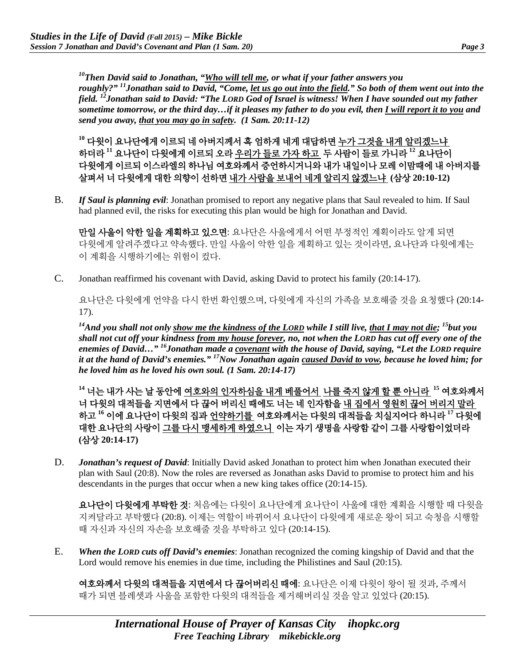*10Then David said to Jonathan, "Who will tell me, or what if your father answers you roughly?" 11Jonathan said to David, "Come, let us go out into the field." So both of them went out into the field. 12Jonathan said to David: "The LORD God of Israel is witness! When I have sounded out my father sometime tomorrow, or the third day…if it pleases my father to do you evil, then I will report it to you and send you away, that you may go in safety. (1 Sam. 20:11-12)*

**<sup>10</sup>** 다윗이 요나단에게 이르되 네 아버지께서 혹 엄하게 네게 대답하면 누가 그것을 내게 알리겠느냐 하더라 **<sup>11</sup>** 요나단이 다윗에게 이르되 오라 우리가 들로 가자 하고 두 사람이 들로 가니라 **<sup>12</sup>** 요나단이 다윗에게 이르되 이스라엘의 하나님 여호와께서 증언하시거니와 내가 내일이나 모레 이맘때에 내 아버지를 살펴서 너 다윗에게 대한 의향이 선하면 내가 사람을 보내어 네게 알리지 않겠느냐 **(**삼상 **20:10-12)**

B. *If Saul is planning evil*: Jonathan promised to report any negative plans that Saul revealed to him. If Saul had planned evil, the risks for executing this plan would be high for Jonathan and David.

만일 사울이 악한 일을 계획하고 있으면: 요나단은 사울에게서 어떤 부정적인 계획이라도 알게 되면 다윗에게 알려주겠다고 약속했다. 만일 사울이 악한 일을 계획하고 있는 것이라면, 요나단과 다윗에게는 이 계획을 시행하기에는 위험이 컸다.

C. Jonathan reaffirmed his covenant with David, asking David to protect his family (20:14-17).

요나단은 다윗에게 언약을 다시 한번 확인했으며, 다윗에게 자신의 가족을 보호해줄 것을 요청했다 (20:14- 17).

*14And you shall not only show me the kindness of the LORD while I still live, that I may not die; 15but you shall not cut off your kindness from my house forever, no, not when the LORD has cut off every one of the enemies of David…" 16Jonathan made a covenant with the house of David, saying, "Let the LORD require it at the hand of David's enemies." 17Now Jonathan again caused David to vow, because he loved him; for he loved him as he loved his own soul. (1 Sam. 20:14-17)*

**<sup>14</sup>** 너는 내가 사는 날 동안에 여호와의 인자하심을 내게 베풀어서 나를 죽지 않게 할 뿐 아니라 **<sup>15</sup>** 여호와께서 너 다윗의 대적들을 지면에서 다 끊어 버리신 때에도 너는 네 인자함을 내 집에서 영원히 끊어 버리지 말라 하고 **<sup>16</sup>** 이에 요나단이 다윗의 집과 언약하기를 여호와께서는 다윗의 대적들을 치실지어다 하니라 **<sup>17</sup>** 다윗에 대한 요나단의 사랑이 그를 다시 맹세하게 하였으니 이는 자기 생명을 사랑함 같이 그를 사랑함이었더라 **(**삼상 **20:14-17)**

D. *Jonathan's request of David*: Initially David asked Jonathan to protect him when Jonathan executed their plan with Saul (20:8). Now the roles are reversed as Jonathan asks David to promise to protect him and his descendants in the purges that occur when a new king takes office (20:14-15).

요나단이 다윗에게 부탁한 것: 처음에는 다윗이 요나단에게 요나단이 사울에 대한 계획을 시행할 때 다윗을 지켜달라고 부탁했다 (20:8). 이제는 역할이 바뀌어서 요나단이 다윗에게 새로운 왕이 되고 숙청을 시행할 때 자신과 자신의 자손을 보호해줄 것을 부탁하고 있다 (20:14-15).

E. *When the LORD cuts off David's enemies*: Jonathan recognized the coming kingship of David and that the Lord would remove his enemies in due time, including the Philistines and Saul (20:15).

여호와께서 다윗의 대적들을 지면에서 다 끊어버리신 때에: 요나단은 이제 다윗이 왕이 될 것과, 주께서 때가 되면 블레셋과 사울을 포함한 다윗의 대적들을 제거해버리실 것을 알고 있었다 (20:15).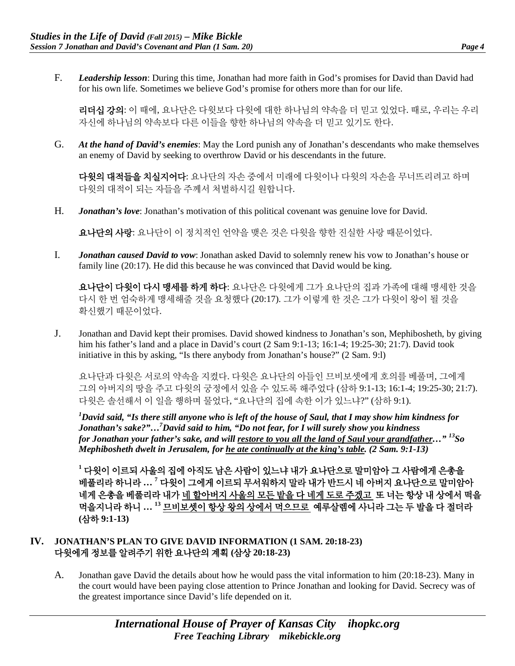F. *Leadership lesson*: During this time, Jonathan had more faith in God's promises for David than David had for his own life. Sometimes we believe God's promise for others more than for our life.

리더십 강의: 이 때에, 요나단은 다윗보다 다윗에 대한 하나님의 약속을 더 믿고 있었다. 때로, 우리는 우리 자신에 하나님의 약속보다 다른 이들을 향한 하나님의 약속을 더 믿고 있기도 한다.

G. *At the hand of David's enemies*: May the Lord punish any of Jonathan's descendants who make themselves an enemy of David by seeking to overthrow David or his descendants in the future.

다윗의 대적들을 치실지어다: 요나단의 자손 중에서 미래에 다윗이나 다윗의 자손을 무너뜨리려고 하며 다윗의 대적이 되는 자들을 주께서 처벌하시길 원합니다.

H. *Jonathan's love*: Jonathan's motivation of this political covenant was genuine love for David.

요나단의 사랑: 요나단이 이 정치적인 언약을 맺은 것은 다윗을 향한 진실한 사랑 때문이었다.

I. *Jonathan caused David to vow*: Jonathan asked David to solemnly renew his vow to Jonathan's house or family line (20:17). He did this because he was convinced that David would be king.

요나단이 다윗이 다시 맹세를 하게 하다: 요나단은 다윗에게 그가 요나단의 집과 가족에 대해 맹세한 것을 다시 한 번 엄숙하게 맹세해줄 것을 요청했다 (20:17). 그가 이렇게 한 것은 그가 다윗이 왕이 될 것을 확신했기 때문이었다.

J. Jonathan and David kept their promises. David showed kindness to Jonathan's son, Mephibosheth, by giving him his father's land and a place in David's court (2 Sam 9:1-13; 16:1-4; 19:25-30; 21:7). David took initiative in this by asking, "Is there anybody from Jonathan's house?" (2 Sam. 9:l)

요나단과 다윗은 서로의 약속을 지켰다. 다윗은 요나단의 아들인 므비보셋에게 호의를 베풀며, 그에게 그의 아버지의 땅을 주고 다윗의 궁정에서 있을 수 있도록 해주었다 (삼하 9:1-13; 16:1-4; 19:25-30; 21:7). 다윗은 솔선해서 이 일을 행하며 물었다, "요나단의 집에 속한 이가 있느냐?" (삼하 9:1).

*1 David said, "Is there still anyone who is left of the house of Saul, that I may show him kindness for Jonathan's sake?"…7 David said to him, "Do not fear, for I will surely show you kindness for Jonathan your father's sake, and will restore to you all the land of Saul your grandfather…" 13So Mephibosheth dwelt in Jerusalem, for he ate continually at the king's table. (2 Sam. 9:1-13)*

**<sup>1</sup>** 다윗이 이르되 사울의 집에 아직도 남은 사람이 있느냐 내가 요나단으로 말미암아 그 사람에게 은총을 베풀리라 하니라 **… <sup>7</sup>** 다윗이 그에게 이르되 무서워하지 말라 내가 반드시 네 아버지 요나단으로 말미암아 네게 은총을 베풀리라 내가 네 할아버지 사울의 모든 밭을 다 네게 도로 주겠고 또 너는 항상 내 상에서 떡을 먹을지니라 하니 **… <sup>13</sup>** 므비보셋이 항상 왕의 상에서 먹으므로 예루살렘에 사니라 그는 두 발을 다 절더라 **(**삼하 **9:1-13)**

## **IV. JONATHAN'S PLAN TO GIVE DAVID INFORMATION (1 SAM. 20:18-23)**  다윗에게 정보를 알려주기 위한 요나단의 계획 **(**삼상 **20:18-23)**

A. Jonathan gave David the details about how he would pass the vital information to him (20:18-23). Many in the court would have been paying close attention to Prince Jonathan and looking for David. Secrecy was of the greatest importance since David's life depended on it.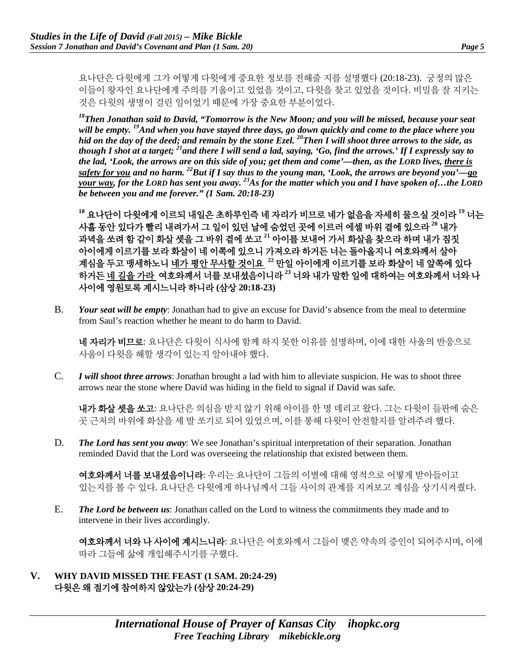요나단은 다윗에게 그가 어떻게 다윗에게 중요한 정보를 전해줄 지를 설명했다 (20:18-23). 궁정의 많은 이들이 왕자인 요나단에게 주의를 기울이고 있었을 것이고, 다윗을 찾고 있었을 것이다. 비밀을 잘 지키는 것은 다윗의 생명이 걸린 일이었기 때문에 가장 중요한 부분이었다.

*18Then Jonathan said to David, "Tomorrow is the New Moon; and you will be missed, because your seat will be empty. 19And when you have stayed three days, go down quickly and come to the place where you hid on the day of the deed; and remain by the stone Ezel. 20Then I will shoot three arrows to the side, as though I shot at a target; 21and there I will send a lad, saying, 'Go, find the arrows.' If I expressly say to the lad, 'Look, the arrows are on this side of you; get them and come'—then, as the LORD lives, there is safety for you and no harm. 22But if I say thus to the young man, 'Look, the arrows are beyond you'—go your way, for the LORD has sent you away. 23As for the matter which you and I have spoken of…the LORD be between you and me forever." (1 Sam. 20:18-23)*

**<sup>18</sup>** 요나단이 다윗에게 이르되 내일은 초하루인즉 네 자리가 비므로 네가 없음을 자세히 물으실 것이라 **<sup>19</sup>** 너는 사흘 동안 있다가 빨리 내려가서 그 일이 있던 날에 숨었던 곳에 이르러 에셀 바위 곁에 있으라 **<sup>20</sup>** 내가 과녁을 쏘려 함 같이 화살 셋을 그 바위 곁에 쏘고 **<sup>21</sup>** 아이를 보내어 가서 화살을 찾으라 하며 내가 짐짓 아이에게 이르기를 보라 화살이 네 이쪽에 있으니 가져오라 하거든 너는 돌아올지니 여호와께서 살아 계심을 두고 맹세하노니 네가 평안 무사할 것이요 **<sup>22</sup>** 만일 아이에게 이르기를 보라 화살이 네 앞쪽에 있다 하거든 네 길을 가라 여호와께서 너를 보내셨음이니라 **<sup>23</sup>** 너와 내가 말한 일에 대하여는 여호와께서 너와 나 사이에 영원토록 계시느니라 하니라 **(**삼상 **20:18-23)**

B. *Your seat will be empty*: Jonathan had to give an excuse for David's absence from the meal to determine from Saul's reaction whether he meant to do harm to David.

네 자리가 비므로: 요나단은 다윗이 식사에 함께 하지 못한 이유를 설명하며, 이에 대한 사울의 반응으로 사울이 다윗을 해할 생각이 있는지 알아내야 했다.

C. *I will shoot three arrows*: Jonathan brought a lad with him to alleviate suspicion. He was to shoot three arrows near the stone where David was hiding in the field to signal if David was safe.

**내가 화살 셋을 쏘고**: 요나단은 의심을 받지 않기 위해 아이를 한 명 데리고 왔다. 그는 다윗이 들판에 숨은 곳 근처의 바위에 화살을 세 발 쏘기로 되어 있었으며, 이를 통해 다윗이 안전할지를 알려주려 했다.

D. *The Lord has sent you away*: We see Jonathan's spiritual interpretation of their separation. Jonathan reminded David that the Lord was overseeing the relationship that existed between them.

여호와께서 너를 보내셨음이니라: 우리는 요나단이 그들의 이별에 대해 영적으로 어떻게 받아들이고 있는지를 볼 수 있다. 요나단은 다윗에게 하나님께서 그들 사이의 관계를 지켜보고 계심을 상기시켜줬다.

E. *The Lord be between us*: Jonathan called on the Lord to witness the commitments they made and to intervene in their lives accordingly.

여호와께서 너와 나 사이에 계시느니라: 요나단은 여호와께서 그들이 맺은 약속의 증인이 되어주시며, 이에 따라 그들에 삶에 개입해주시기를 구했다.

**V. WHY DAVID MISSED THE FEAST (1 SAM. 20:24-29)**  다윗은 왜 절기에 참여하지 않았는가 **(**삼상 **20:24-29)**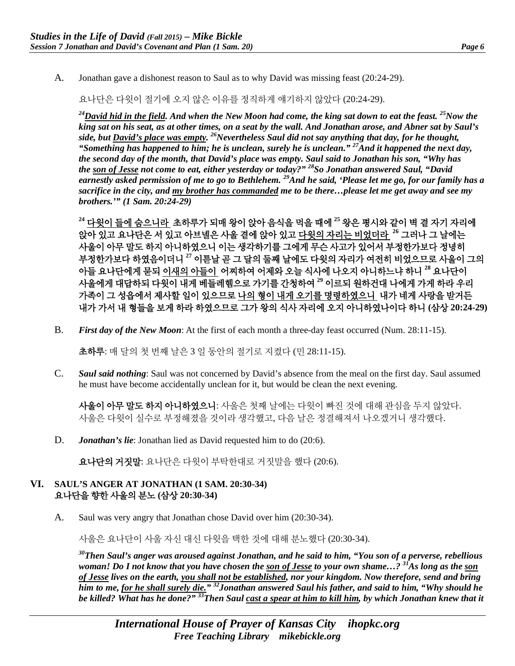A. Jonathan gave a dishonest reason to Saul as to why David was missing feast (20:24-29).

요나단은 다윗이 절기에 오지 않은 이유를 정직하게 얘기하지 않았다 (20:24-29).

*24David hid in the field. And when the New Moon had come, the king sat down to eat the feast. 25Now the king sat on his seat, as at other times, on a seat by the wall. And Jonathan arose, and Abner sat by Saul's side, but David's place was empty. 26Nevertheless Saul did not say anything that day, for he thought, "Something has happened to him; he is unclean, surely he is unclean." 27And it happened the next day, the second day of the month, that David's place was empty. Saul said to Jonathan his son, "Why has the son of Jesse not come to eat, either yesterday or today?" 28So Jonathan answered Saul, "David earnestly asked permission of me to go to Bethlehem. 29And he said, 'Please let me go, for our family has a sacrifice in the city, and my brother has commanded me to be there…please let me get away and see my brothers.'" (1 Sam. 20:24-29)*

**<sup>24</sup>** 다윗이 들에 숨으니라 초하루가 되매 왕이 앉아 음식을 먹을 때에 **<sup>25</sup>** 왕은 평시와 같이 벽 곁 자기 자리에 앉아 있고 요나단은 서 있고 아브넬은 사울 곁에 앉아 있고 다윗의 자리는 비었더라 **<sup>26</sup>** 그러나 그 날에는 사울이 아무 말도 하지 아니하였으니 이는 생각하기를 그에게 무슨 사고가 있어서 부정한가보다 정녕히 부정한가보다 하였음이더니 **<sup>27</sup>** 이튿날 곧 그 달의 둘째 날에도 다윗의 자리가 여전히 비었으므로 사울이 그의 아들 요나단에게 묻되 이새의 아들이 어찌하여 어제와 오늘 식사에 나오지 아니하느냐 하니 **<sup>28</sup>** 요나단이 사울에게 대답하되 다윗이 내게 베들레헴으로 가기를 간청하여 **<sup>29</sup>** 이르되 원하건대 나에게 가게 하라 우리 가족이 그 성읍에서 제사할 일이 있으므로 나의 형이 내게 오기를 명령하였으니 내가 네게 사랑을 받거든 내가 가서 내 형들을 보게 하라 하였으므로 그가 왕의 식사 자리에 오지 아니하였나이다 하니 **(**삼상 **20:24-29)**

B. *First day of the New Moon*: At the first of each month a three-day feast occurred (Num. 28:11-15).

초하루: 매 달의 첫 번째 날은 3 일 동안의 절기로 지켰다 (민 28:11-15).

C. *Saul said nothing*: Saul was not concerned by David's absence from the meal on the first day. Saul assumed he must have become accidentally unclean for it, but would be clean the next evening.

사울이 아무 말도 하지 아니하였으니: 사울은 첫째 날에는 다윗이 빠진 것에 대해 관심을 두지 않았다. 사울은 다윗이 실수로 부정해졌을 것이라 생각했고, 다음 날은 정결해져서 나오겠거니 생각했다.

D. *Jonathan's lie*: Jonathan lied as David requested him to do (20:6).

요나단의 거짓말: 요나단은 다윗이 부탁한대로 거짓말을 했다 (20:6).

### **VI. SAUL'S ANGER AT JONATHAN (1 SAM. 20:30-34)**  요나단을 향한 사울의 분노 **(**삼상 **20:30-34)**

A. Saul was very angry that Jonathan chose David over him (20:30-34).

사울은 요나단이 사울 자신 대신 다윗을 택한 것에 대해 분노했다 (20:30-34).

*30Then Saul's anger was aroused against Jonathan, and he said to him, "You son of a perverse, rebellious woman! Do I not know that you have chosen the son of Jesse to your own shame…? 31As long as the son of Jesse lives on the earth, you shall not be established, nor your kingdom. Now therefore, send and bring him to me, for he shall surely die." 32Jonathan answered Saul his father, and said to him, "Why should he be killed? What has he done?" 33Then Saul cast a spear at him to kill him, by which Jonathan knew that it*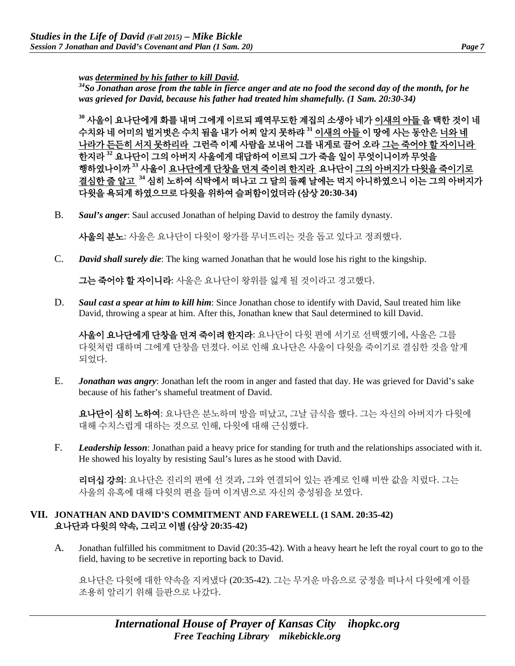*was determined by his father to kill David. 34So Jonathan arose from the table in fierce anger and ate no food the second day of the month, for he was grieved for David, because his father had treated him shamefully. (1 Sam. 20:30-34)*

**<sup>30</sup>** 사울이 요나단에게 화를 내며 그에게 이르되 패역무도한 계집의 소생아 네가 이새의 아들 을 택한 것이 네 수치와 네 어미의 벌거벗은 수치 됨을 내가 어찌 알지 못하랴 **<sup>31</sup>** 이새의 아들 이 땅에 사는 동안은 너와 네 나라가 든든히 서지 못하리라 그런즉 이제 사람을 보내어 그를 내게로 끌어 오라 그는 죽어야 할 자이니라 한지라 **<sup>32</sup>** 요나단이 그의 아버지 사울에게 대답하여 이르되 그가 죽을 일이 무엇이니이까 무엇을 행하였나이까 **<sup>33</sup>** 사울이 요나단에게 단창을 던져 죽이려 한지라 요나단이 그의 아버지가 다윗을 죽이기로 결심한 줄 알고 **<sup>34</sup>** 심히 노하여 식탁에서 떠나고 그 달의 둘째 날에는 먹지 아니하였으니 이는 그의 아버지가 다윗을 욕되게 하였으므로 다윗을 위하여 슬퍼함이었더라 **(**삼상 **20:30-34)**

B. *Saul's anger*: Saul accused Jonathan of helping David to destroy the family dynasty.

사울의 분노: 사울은 요나단이 다윗이 왕가를 무너뜨리는 것을 돕고 있다고 정죄했다.

C. *David shall surely die*: The king warned Jonathan that he would lose his right to the kingship.

그는 죽어야 할 자이니라: 사울은 요나단이 왕위를 잃게 될 것이라고 경고했다.

D. *Saul cast a spear at him to kill him*: Since Jonathan chose to identify with David, Saul treated him like David, throwing a spear at him. After this, Jonathan knew that Saul determined to kill David.

사울이 요나단에게 단창을 던져 죽이려 한지라: 요나단이 다윗 편에 서기로 선택했기에, 사울은 그를 다윗처럼 대하며 그에게 단창을 던졌다. 이로 인해 요나단은 사울이 다윗을 죽이기로 결심한 것을 알게 되었다.

E. *Jonathan was angry*: Jonathan left the room in anger and fasted that day. He was grieved for David's sake because of his father's shameful treatment of David.

요나단이 심히 노하여: 요나단은 분노하며 방을 떠났고, 그날 금식을 했다. 그는 자신의 아버지가 다윗에 대해 수치스럽게 대하는 것으로 인해, 다윗에 대해 근심했다.

F. *Leadership lesson*: Jonathan paid a heavy price for standing for truth and the relationships associated with it. He showed his loyalty by resisting Saul's lures as he stood with David.

리더십 강의: 요나단은 진리의 편에 선 것과, 그와 연결되어 있는 관계로 인해 비싼 값을 치렀다. 그는 사울의 유혹에 대해 다윗의 편을 들며 이겨냄으로 자신의 충성됨을 보였다.

#### **VII. JONATHAN AND DAVID'S COMMITMENT AND FAREWELL (1 SAM. 20:35-42)**  요나단과 다윗의 약속**,** 그리고 이별 **(**삼상 **20:35-42)**

A. Jonathan fulfilled his commitment to David (20:35-42). With a heavy heart he left the royal court to go to the field, having to be secretive in reporting back to David.

요나단은 다윗에 대한 약속을 지켜냈다 (20:35-42). 그는 무거운 마음으로 궁정을 떠나서 다윗에게 이를 조용히 알리기 위해 들판으로 나갔다.